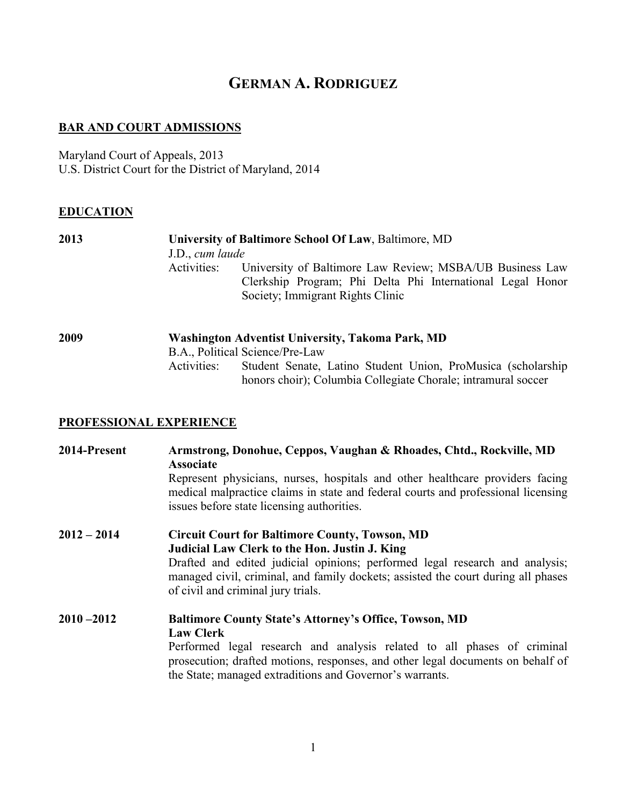# **GERMAN A. RODRIGUEZ**

### **BAR AND COURT ADMISSIONS**

Maryland Court of Appeals, 2013 U.S. District Court for the District of Maryland, 2014

### **EDUCATION**

| 2013 | University of Baltimore School Of Law, Baltimore, MD                         |
|------|------------------------------------------------------------------------------|
|      | J.D., cum laude                                                              |
|      | University of Baltimore Law Review; MSBA/UB Business Law<br>Activities:      |
|      | Clerkship Program; Phi Delta Phi International Legal Honor                   |
|      | Society; Immigrant Rights Clinic                                             |
|      |                                                                              |
| 2009 | <b>Washington Adventist University, Takoma Park, MD</b>                      |
|      | B.A., Political Science/Pre-Law                                              |
|      | Student Senate, Latino Student Union, ProMusica (scholarship)<br>Activities: |
|      | honors choir); Columbia Collegiate Chorale; intramural soccer                |

## **PROFESSIONAL EXPERIENCE**

| 2014-Present  | Armstrong, Donohue, Ceppos, Vaughan & Rhoades, Chtd., Rockville, MD<br><b>Associate</b><br>Represent physicians, nurses, hospitals and other healthcare providers facing<br>medical malpractice claims in state and federal courts and professional licensing<br>issues before state licensing authorities.       |
|---------------|-------------------------------------------------------------------------------------------------------------------------------------------------------------------------------------------------------------------------------------------------------------------------------------------------------------------|
| $2012 - 2014$ | <b>Circuit Court for Baltimore County, Towson, MD</b><br>Judicial Law Clerk to the Hon. Justin J. King<br>Drafted and edited judicial opinions; performed legal research and analysis;<br>managed civil, criminal, and family dockets; assisted the court during all phases<br>of civil and criminal jury trials. |
| $2010 - 2012$ | <b>Baltimore County State's Attorney's Office, Towson, MD</b><br><b>Law Clerk</b><br>Performed legal research and analysis related to all phases of criminal<br>prosecution; drafted motions, responses, and other legal documents on behalf of<br>the State; managed extraditions and Governor's warrants.       |